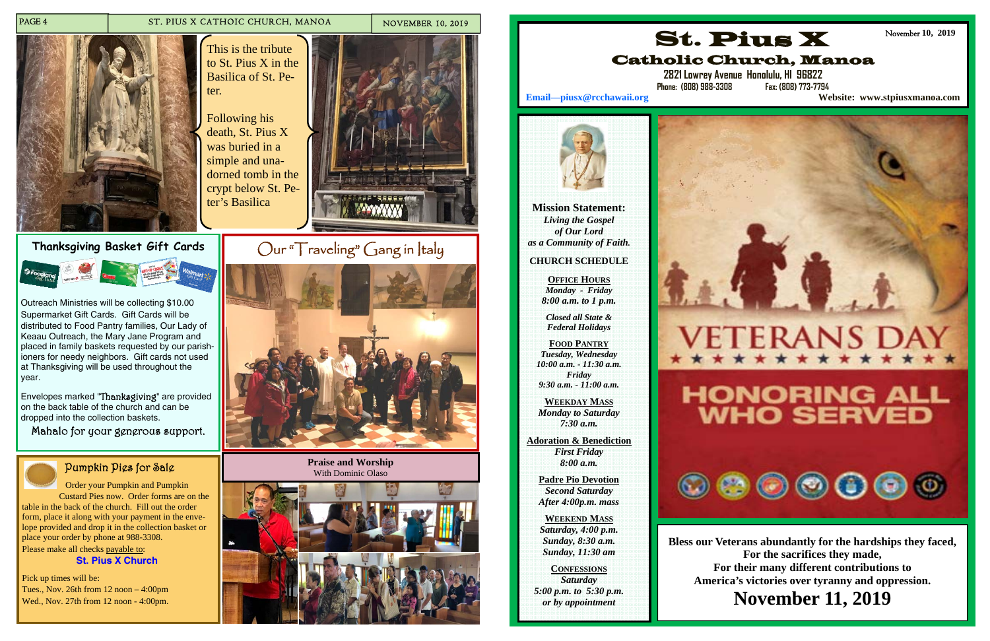### PAGE 4 ST. PIUS X CATHOIC CHURCH, MANOA NOVEMBER 10, 2019



# **Thanksgiving Basket Gift Cards**



Outreach Ministries will be collecting \$10.00 Supermarket Gift Cards. Gift Cards will be distributed to Food Pantry families, Our Lady of Keaau Outreach, the Mary Jane Program and placed in family baskets requested by our parishioners for needy neighbors. Gift cards not used at Thanksgiving will be used throughout the year.

Envelopes marked "Thanksgiving" are provided on the back table of the church and can be dropped into the collection baskets.

Mahalo for your generous support.

# Pumpkin Pies for Sale

 Order your Pumpkin and Pumpkin Custard Pies now. Order forms are on the table in the back of the church. Fill out the order form, place it along with your payment in the envelope provided and drop it in the collection basket or place your order by phone at 988-3308. Please make all checks payable to:

**St. Pius X Church**

Pick up times will be: Tues., Nov. 26th from 12 noon – 4:00pm Wed., Nov. 27th from 12 noon - 4:00pm.

This is the tribute to St. Pius X in the Basilica of St. Peter.



**Praise and Worship**  With Dominic Olaso





Following his death, St. Pius X was buried in a simple and unadorned tomb in the crypt below St. Peter's Basilica



**Mission Statement:**  *Living the Gospel of Our Lord as a Community of Faith.* 

### **CHURCH SCHEDULE**

**OFFICE HOURS***Monday - Friday 8:00 a.m. to 1 p.m.* 

*Closed all State & Federal Holidays* 

**FOOD PANTRY***Tuesday, Wednesday 10:00 a.m. - 11:30 a.m. Friday 9:30 a.m. - 11:00 a.m.* 

**WEEKDAY MASS***Monday to Saturday 7:30 a.m.* 

**Adoration & Benediction**  *First Friday 8:00 a.m.* 

**Padre Pio Devotion**  *Second Saturday After 4:00p.m. mass* 

**WEEKEND MASS***Saturday, 4:00 p.m. Sunday, 8:30 a.m. Sunday, 11:30 am* 

**CONFESSIONS** *Saturday 5:00 p.m. to 5:30 p.m. or by appointment* 





# Catholic Church, Manoa

**2821 Lowrey Avenue Honolulu, HI 96822 Phone: (808) 988-3308 Fax: (808) 773-7794** 

**Email—piusx@rcchawaii.org Website: www.stpiusxmanoa.com**



November **10, 2019** 

**Bless our Veterans abundantly for the hardships they faced, For the sacrifices they made, For their many different contributions to America's victories over tyranny and oppression.** 

# **November 11, 2019**